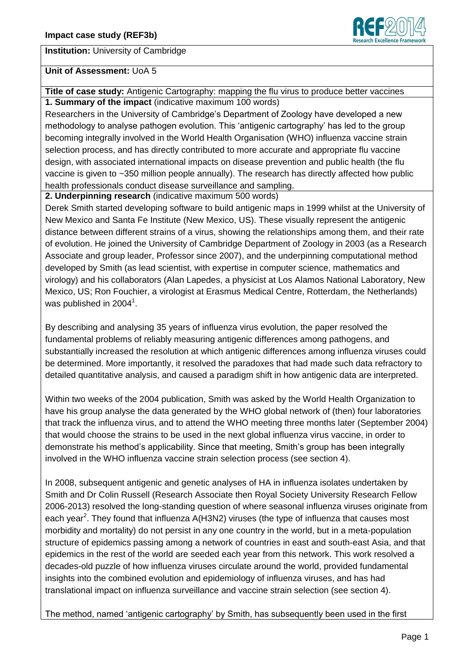

#### **Institution:** University of Cambridge

#### **Unit of Assessment:** UoA 5

**Title of case study:** Antigenic Cartography: mapping the flu virus to produce better vaccines **1. Summary of the impact** (indicative maximum 100 words)

Researchers in the University of Cambridge's Department of Zoology have developed a new methodology to analyse pathogen evolution. This 'antigenic cartography' has led to the group becoming integrally involved in the World Health Organisation (WHO) influenza vaccine strain selection process, and has directly contributed to more accurate and appropriate flu vaccine design, with associated international impacts on disease prevention and public health (the flu vaccine is given to ~350 million people annually). The research has directly affected how public health professionals conduct disease surveillance and sampling.

**2. Underpinning research** (indicative maximum 500 words)

Derek Smith started developing software to build antigenic maps in 1999 whilst at the University of New Mexico and Santa Fe Institute (New Mexico, US). These visually represent the antigenic distance between different strains of a virus, showing the relationships among them, and their rate of evolution. He joined the University of Cambridge Department of Zoology in 2003 (as a Research Associate and group leader, Professor since 2007), and the underpinning computational method developed by Smith (as lead scientist, with expertise in computer science, mathematics and virology) and his collaborators (Alan Lapedes, a physicist at Los Alamos National Laboratory, New Mexico, US; Ron Fouchier, a virologist at Erasmus Medical Centre, Rotterdam, the Netherlands) was published in 2004 $^{\rm 1}.$ 

By describing and analysing 35 years of influenza virus evolution, the paper resolved the fundamental problems of reliably measuring antigenic differences among pathogens, and substantially increased the resolution at which antigenic differences among influenza viruses could be determined. More importantly, it resolved the paradoxes that had made such data refractory to detailed quantitative analysis, and caused a paradigm shift in how antigenic data are interpreted.

Within two weeks of the 2004 publication, Smith was asked by the World Health Organization to have his group analyse the data generated by the WHO global network of (then) four laboratories that track the influenza virus, and to attend the WHO meeting three months later (September 2004) that would choose the strains to be used in the next global influenza virus vaccine, in order to demonstrate his method's applicability. Since that meeting, Smith's group has been integrally involved in the WHO influenza vaccine strain selection process (see section 4).

In 2008, subsequent antigenic and genetic analyses of HA in influenza isolates undertaken by Smith and Dr Colin Russell (Research Associate then Royal Society University Research Fellow 2006-2013) resolved the long-standing question of where seasonal influenza viruses originate from each year<sup>2</sup>. They found that influenza A(H3N2) viruses (the type of influenza that causes most morbidity and mortality) do not persist in any one country in the world, but in a meta-population structure of epidemics passing among a network of countries in east and south-east Asia, and that epidemics in the rest of the world are seeded each year from this network. This work resolved a decades-old puzzle of how influenza viruses circulate around the world, provided fundamental insights into the combined evolution and epidemiology of influenza viruses, and has had translational impact on influenza surveillance and vaccine strain selection (see section 4).

The method, named 'antigenic cartography' by Smith, has subsequently been used in the first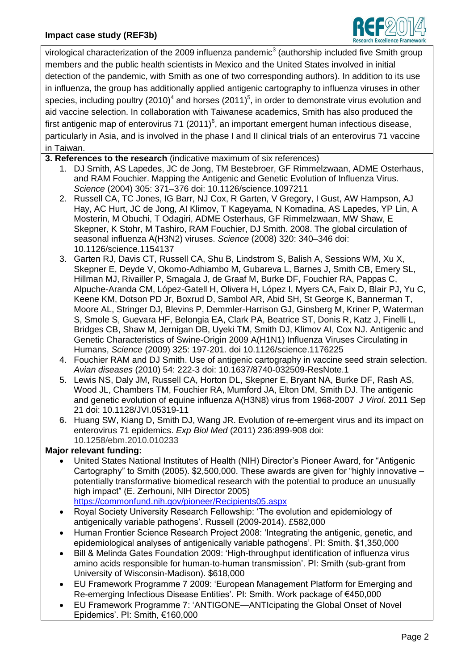

virological characterization of the 2009 influenza pandemic<sup>3</sup> (authorship included five Smith group members and the public health scientists in Mexico and the United States involved in initial detection of the pandemic, with Smith as one of two corresponding authors). In addition to its use in influenza, the group has additionally applied antigenic cartography to influenza viruses in other species, including poultry (2010)<sup>4</sup> and horses (2011)<sup>5</sup>, in order to demonstrate virus evolution and aid vaccine selection. In collaboration with Taiwanese academics, Smith has also produced the first antigenic map of enterovirus 71 (2011)<sup>6</sup>, an important emergent human infectious disease, particularly in Asia, and is involved in the phase I and II clinical trials of an enterovirus 71 vaccine in Taiwan.

- **3. References to the research** (indicative maximum of six references)
	- 1. DJ Smith, AS Lapedes, JC de Jong, TM Bestebroer, GF Rimmelzwaan, ADME Osterhaus, and RAM Fouchier. Mapping the Antigenic and Genetic Evolution of Influenza Virus. *Science* (2004) 305: 371–376 doi: 10.1126/science.1097211
	- 2. Russell CA, TC Jones, IG Barr, NJ Cox, R Garten, V Gregory, I Gust, AW Hampson, AJ Hay, AC Hurt, JC de Jong, AI Klimov, T Kageyama, N Komadina, AS Lapedes, YP Lin, A Mosterin, M Obuchi, T Odagiri, ADME Osterhaus, GF Rimmelzwaan, MW Shaw, E Skepner, K Stohr, M Tashiro, RAM Fouchier, DJ Smith. 2008. The global circulation of seasonal influenza A(H3N2) viruses. *Science* (2008) 320: 340–346 doi: 10.1126/science.1154137
	- 3. Garten RJ, Davis CT, Russell CA, Shu B, Lindstrom S, Balish A, Sessions WM, Xu X, Skepner E, Deyde V, Okomo-Adhiambo M, Gubareva L, Barnes J, Smith CB, Emery SL, Hillman MJ, Rivailler P, Smagala J, de Graaf M, Burke DF, Fouchier RA, Pappas C, Alpuche-Aranda CM, López-Gatell H, Olivera H, López I, Myers CA, Faix D, Blair PJ, Yu C, Keene KM, Dotson PD Jr, Boxrud D, Sambol AR, Abid SH, St George K, Bannerman T, Moore AL, Stringer DJ, Blevins P, Demmler-Harrison GJ, Ginsberg M, Kriner P, Waterman S, Smole S, Guevara HF, Belongia EA, Clark PA, Beatrice ST, Donis R, Katz J, Finelli L, Bridges CB, Shaw M, Jernigan DB, Uyeki TM, Smith DJ, Klimov AI, Cox NJ. Antigenic and Genetic Characteristics of Swine-Origin 2009 A(H1N1) Influenza Viruses Circulating in Humans, *Science* (2009) 325: 197-201. doi 10.1126/science.1176225
	- 4. Fouchier RAM and DJ Smith. Use of antigenic cartography in vaccine seed strain selection. *Avian diseases* (2010) 54: 222-3 doi: [10.1637/8740-032509-ResNote.1](http://dx.doi.org/10.1637/8740-032509-ResNote.1)
	- 5. Lewis NS, Daly JM, Russell CA, Horton DL, Skepner E, Bryant NA, Burke DF, Rash AS, Wood JL, Chambers TM, Fouchier RA, Mumford JA, Elton DM, Smith DJ. The antigenic and genetic evolution of equine influenza A(H3N8) virus from 1968-2007 *J Virol*. 2011 Sep 21 doi: 10.1128/JVI.05319-11
	- **6.** Huang SW, Kiang D, Smith DJ, Wang JR. Evolution of re-emergent virus and its impact on enterovirus 71 epidemics. *Exp Biol Med* (2011) 236:899-908 doi: 10.1258/ebm.2010.010233

### **Major relevant funding:**

- United States National Institutes of Health (NIH) Director's Pioneer Award, for "Antigenic Cartography" to Smith (2005). \$2,500,000. These awards are given for "highly innovative – potentially transformative biomedical research with the potential to produce an unusually high impact" (E. Zerhouni, NIH Director 2005)
	- <https://commonfund.nih.gov/pioneer/Recipients05.aspx>
- Royal Society University Research Fellowship: 'The evolution and epidemiology of antigenically variable pathogens'. Russell (2009-2014). £582,000
- Human Frontier Science Research Project 2008: 'Integrating the antigenic, genetic, and epidemiological analyses of antigenically variable pathogens'. PI: Smith. \$1,350,000
- Bill & Melinda Gates Foundation 2009: 'High-throughput identification of influenza virus amino acids responsible for human-to-human transmission'. PI: Smith (sub-grant from University of Wisconsin-Madison). \$618,000
- EU Framework Programme 7 2009: 'European Management Platform for Emerging and Re-emerging Infectious Disease Entities'. PI: Smith. Work package of €450,000
- EU Framework Programme 7: 'ANTIGONE—ANTIcipating the Global Onset of Novel Epidemics'. PI: Smith, €160,000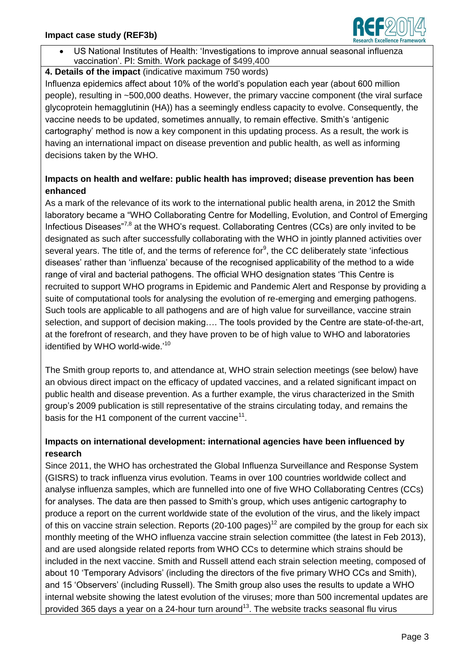- ch Excellence Framev
- US National Institutes of Health: 'Investigations to improve annual seasonal influenza vaccination'. PI: Smith. Work package of \$499,400

## **4. Details of the impact** (indicative maximum 750 words)

Influenza epidemics affect about 10% of the world's population each year (about 600 million people), resulting in ~500,000 deaths. However, the primary vaccine component (the viral surface glycoprotein hemagglutinin (HA)) has a seemingly endless capacity to evolve. Consequently, the vaccine needs to be updated, sometimes annually, to remain effective. Smith's 'antigenic cartography' method is now a key component in this updating process. As a result, the work is having an international impact on disease prevention and public health, as well as informing decisions taken by the WHO.

## **Impacts on health and welfare: public health has improved; disease prevention has been enhanced**

As a mark of the relevance of its work to the international public health arena, in 2012 the Smith laboratory became a "WHO Collaborating Centre for Modelling, Evolution, and Control of Emerging Infectious Diseases<sup> $7,8$ </sup> at the WHO's request. Collaborating Centres (CCs) are only invited to be designated as such after successfully collaborating with the WHO in jointly planned activities over several years. The title of, and the terms of reference for<sup>9</sup>, the CC deliberately state 'infectious diseases' rather than 'influenza' because of the recognised applicability of the method to a wide range of viral and bacterial pathogens. The official WHO designation states 'This Centre is recruited to support WHO programs in Epidemic and Pandemic Alert and Response by providing a suite of computational tools for analysing the evolution of re-emerging and emerging pathogens. Such tools are applicable to all pathogens and are of high value for surveillance, vaccine strain selection, and support of decision making…. The tools provided by the Centre are state-of-the-art, at the forefront of research, and they have proven to be of high value to WHO and laboratories identified by WHO world-wide.<sup>'10</sup>

The Smith group reports to, and attendance at, WHO strain selection meetings (see below) have an obvious direct impact on the efficacy of updated vaccines, and a related significant impact on public health and disease prevention. As a further example, the virus characterized in the Smith group's 2009 publication is still representative of the strains circulating today, and remains the basis for the H1 component of the current vaccine $11$ .

# **Impacts on international development: international agencies have been influenced by research**

Since 2011, the WHO has orchestrated the Global Influenza Surveillance and Response System (GISRS) to track influenza virus evolution. Teams in over 100 countries worldwide collect and analyse influenza samples, which are funnelled into one of five WHO Collaborating Centres (CCs) for analyses. The data are then passed to Smith's group, which uses antigenic cartography to produce a report on the current worldwide state of the evolution of the virus, and the likely impact of this on vaccine strain selection. Reports (20-100 pages)<sup>12</sup> are compiled by the group for each six monthly meeting of the WHO influenza vaccine strain selection committee (the latest in Feb 2013), and are used alongside related reports from WHO CCs to determine which strains should be included in the next vaccine. Smith and Russell attend each strain selection meeting, composed of about 10 'Temporary Advisors' (including the directors of the five primary WHO CCs and Smith), and 15 'Observers' (including Russell). The Smith group also uses the results to update a WHO internal website showing the latest evolution of the viruses; more than 500 incremental updates are provided 365 days a year on a 24-hour turn around<sup>13</sup>. The website tracks seasonal flu virus